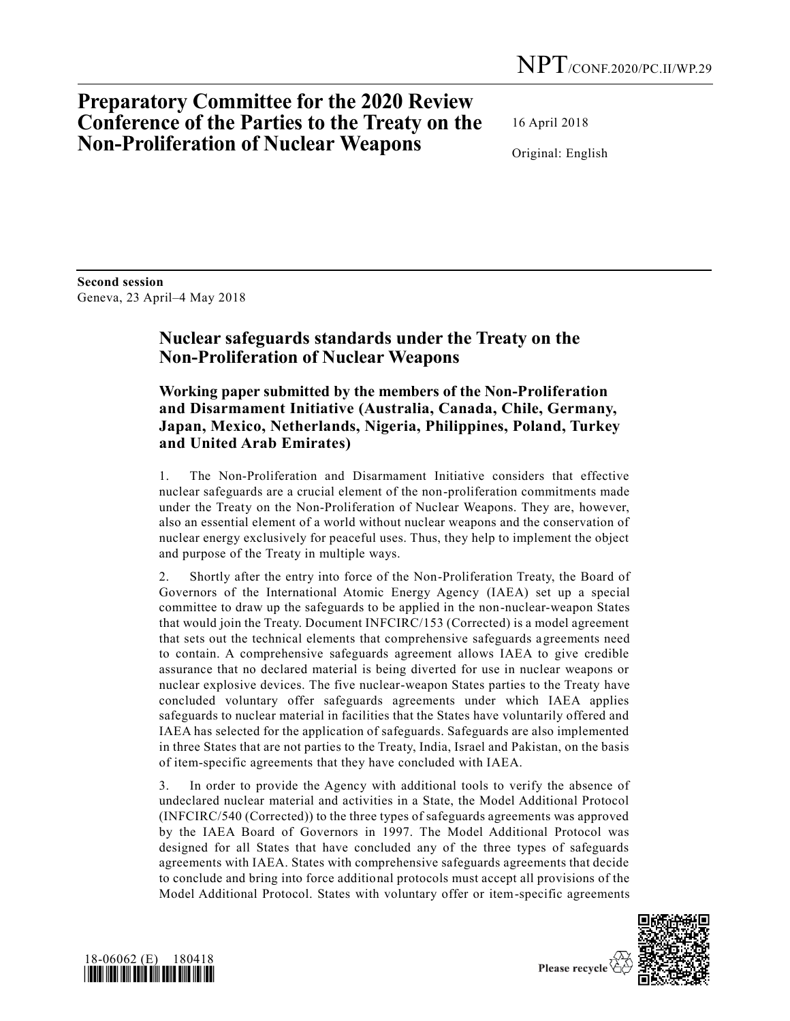# **Preparatory Committee for the 2020 Review Conference of the Parties to the Treaty on the Non-Proliferation of Nuclear Weapons**

16 April 2018

Original: English

**Second session** Geneva, 23 April–4 May 2018

## **Nuclear safeguards standards under the Treaty on the Non-Proliferation of Nuclear Weapons**

### **Working paper submitted by the members of the Non-Proliferation and Disarmament Initiative (Australia, Canada, Chile, Germany, Japan, Mexico, Netherlands, Nigeria, Philippines, Poland, Turkey and United Arab Emirates)**

1. The Non-Proliferation and Disarmament Initiative considers that effective nuclear safeguards are a crucial element of the non-proliferation commitments made under the Treaty on the Non-Proliferation of Nuclear Weapons. They are, however, also an essential element of a world without nuclear weapons and the conservation of nuclear energy exclusively for peaceful uses. Thus, they help to implement the object and purpose of the Treaty in multiple ways.

2. Shortly after the entry into force of the Non-Proliferation Treaty, the Board of Governors of the International Atomic Energy Agency (IAEA) set up a special committee to draw up the safeguards to be applied in the non-nuclear-weapon States that would join the Treaty. Document INFCIRC/153 (Corrected) is a model agreement that sets out the technical elements that comprehensive safeguards agreements need to contain. A comprehensive safeguards agreement allows IAEA to give credible assurance that no declared material is being diverted for use in nuclear weapons or nuclear explosive devices. The five nuclear-weapon States parties to the Treaty have concluded voluntary offer safeguards agreements under which IAEA applies safeguards to nuclear material in facilities that the States have voluntarily offered and IAEA has selected for the application of safeguards. Safeguards are also implemented in three States that are not parties to the Treaty, India, Israel and Pakistan, on the basis of item-specific agreements that they have concluded with IAEA.

3. In order to provide the Agency with additional tools to verify the absence of undeclared nuclear material and activities in a State, the Model Additional Protocol (INFCIRC/540 (Corrected)) to the three types of safeguards agreements was approved by the IAEA Board of Governors in 1997. The Model Additional Protocol was designed for all States that have concluded any of the three types of safeguards agreements with IAEA. States with comprehensive safeguards agreements that decide to conclude and bring into force additional protocols must accept all provisions of the Model Additional Protocol. States with voluntary offer or item-specific agreements



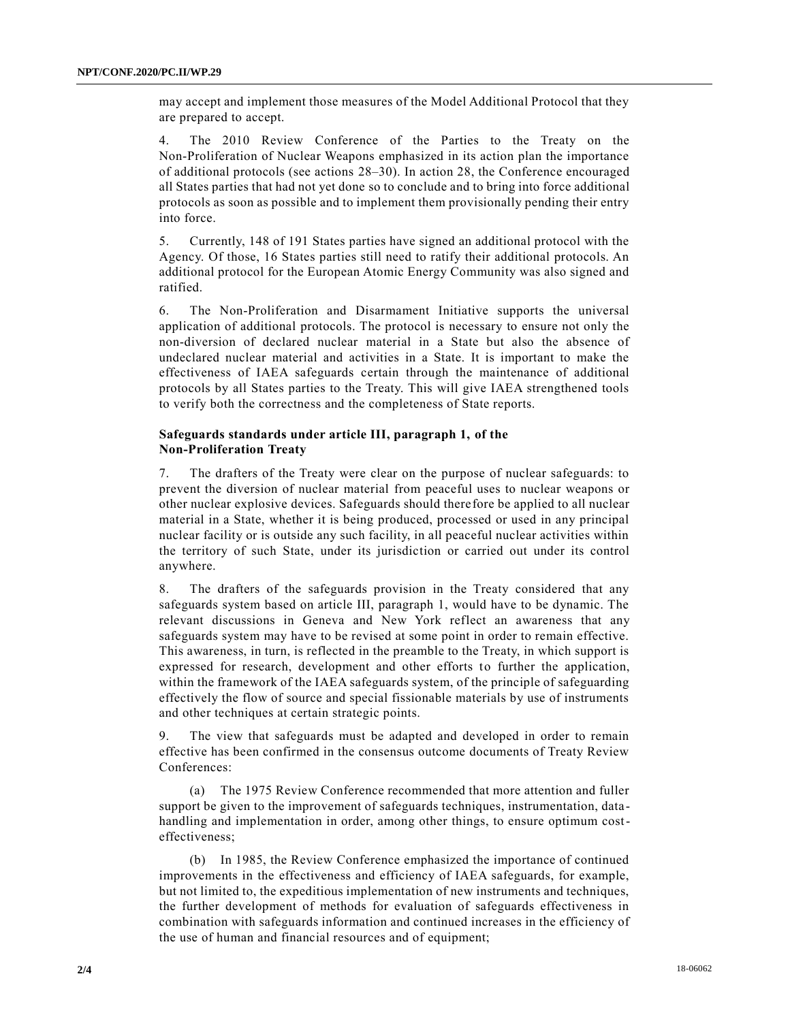may accept and implement those measures of the Model Additional Protocol that they are prepared to accept.

4. The 2010 Review Conference of the Parties to the Treaty on the Non-Proliferation of Nuclear Weapons emphasized in its action plan the importance of additional protocols (see actions 28–30). In action 28, the Conference encouraged all States parties that had not yet done so to conclude and to bring into force additional protocols as soon as possible and to implement them provisionally pending their entry into force.

5. Currently, 148 of 191 States parties have signed an additional protocol with the Agency. Of those, 16 States parties still need to ratify their additional protocols. An additional protocol for the European Atomic Energy Community was also signed and ratified.

6. The Non-Proliferation and Disarmament Initiative supports the universal application of additional protocols. The protocol is necessary to ensure not only the non-diversion of declared nuclear material in a State but also the absence of undeclared nuclear material and activities in a State. It is important to make the effectiveness of IAEA safeguards certain through the maintenance of additional protocols by all States parties to the Treaty. This will give IAEA strengthened tools to verify both the correctness and the completeness of State reports.

### **Safeguards standards under article III, paragraph 1, of the Non-Proliferation Treaty**

7. The drafters of the Treaty were clear on the purpose of nuclear safeguards: to prevent the diversion of nuclear material from peaceful uses to nuclear weapons or other nuclear explosive devices. Safeguards should therefore be applied to all nuclear material in a State, whether it is being produced, processed or used in any principal nuclear facility or is outside any such facility, in all peaceful nuclear activities within the territory of such State, under its jurisdiction or carried out under its control anywhere.

8. The drafters of the safeguards provision in the Treaty considered that any safeguards system based on article III, paragraph 1, would have to be dynamic. The relevant discussions in Geneva and New York reflect an awareness that any safeguards system may have to be revised at some point in order to remain effective. This awareness, in turn, is reflected in the preamble to the Treaty, in which support is expressed for research, development and other efforts to further the application, within the framework of the IAEA safeguards system, of the principle of safeguarding effectively the flow of source and special fissionable materials by use of instruments and other techniques at certain strategic points.

9. The view that safeguards must be adapted and developed in order to remain effective has been confirmed in the consensus outcome documents of Treaty Review Conferences:

(a) The 1975 Review Conference recommended that more attention and fuller support be given to the improvement of safeguards techniques, instrumentation, data handling and implementation in order, among other things, to ensure optimum costeffectiveness;

(b) In 1985, the Review Conference emphasized the importance of continued improvements in the effectiveness and efficiency of IAEA safeguards, for example, but not limited to, the expeditious implementation of new instruments and techniques, the further development of methods for evaluation of safeguards effectiveness in combination with safeguards information and continued increases in the efficiency of the use of human and financial resources and of equipment;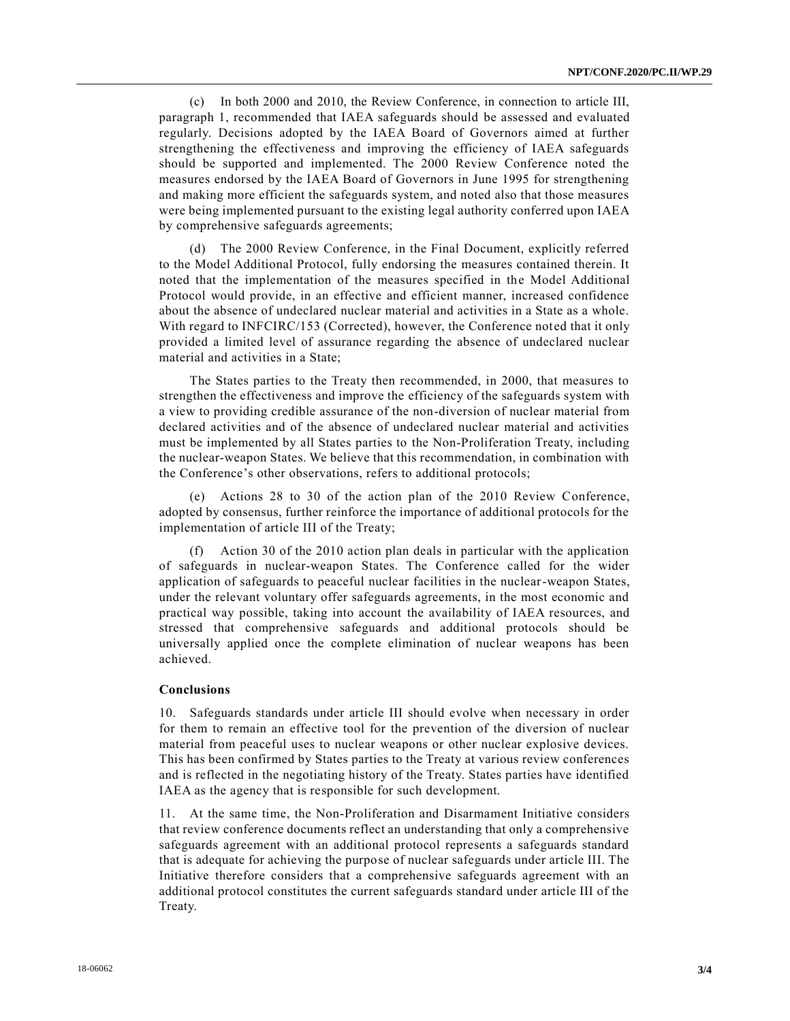(c) In both 2000 and 2010, the Review Conference, in connection to article III, paragraph 1, recommended that IAEA safeguards should be assessed and evaluated regularly. Decisions adopted by the IAEA Board of Governors aimed at further strengthening the effectiveness and improving the efficiency of IAEA safeguards should be supported and implemented. The 2000 Review Conference noted the measures endorsed by the IAEA Board of Governors in June 1995 for strengthening and making more efficient the safeguards system, and noted also that those measures were being implemented pursuant to the existing legal authority conferred upon IAEA by comprehensive safeguards agreements;

(d) The 2000 Review Conference, in the Final Document, explicitly referred to the Model Additional Protocol, fully endorsing the measures contained therein. It noted that the implementation of the measures specified in the Model Additional Protocol would provide, in an effective and efficient manner, increased confidence about the absence of undeclared nuclear material and activities in a State as a whole. With regard to INFCIRC/153 (Corrected), however, the Conference noted that it only provided a limited level of assurance regarding the absence of undeclared nuclear material and activities in a State;

The States parties to the Treaty then recommended, in 2000, that measures to strengthen the effectiveness and improve the efficiency of the safeguards system with a view to providing credible assurance of the non-diversion of nuclear material from declared activities and of the absence of undeclared nuclear material and activities must be implemented by all States parties to the Non-Proliferation Treaty, including the nuclear-weapon States. We believe that this recommendation, in combination with the Conference's other observations, refers to additional protocols;

(e) Actions 28 to 30 of the action plan of the 2010 Review Conference, adopted by consensus, further reinforce the importance of additional protocols for the implementation of article III of the Treaty;

(f) Action 30 of the 2010 action plan deals in particular with the application of safeguards in nuclear-weapon States. The Conference called for the wider application of safeguards to peaceful nuclear facilities in the nuclear-weapon States, under the relevant voluntary offer safeguards agreements, in the most economic and practical way possible, taking into account the availability of IAEA resources, and stressed that comprehensive safeguards and additional protocols should be universally applied once the complete elimination of nuclear weapons has been achieved.

#### **Conclusions**

10. Safeguards standards under article III should evolve when necessary in order for them to remain an effective tool for the prevention of the diversion of nuclear material from peaceful uses to nuclear weapons or other nuclear explosive devices. This has been confirmed by States parties to the Treaty at various review conferences and is reflected in the negotiating history of the Treaty. States parties have identified IAEA as the agency that is responsible for such development.

11. At the same time, the Non-Proliferation and Disarmament Initiative considers that review conference documents reflect an understanding that only a comprehensive safeguards agreement with an additional protocol represents a safeguards standard that is adequate for achieving the purpose of nuclear safeguards under article III. The Initiative therefore considers that a comprehensive safeguards agreement with an additional protocol constitutes the current safeguards standard under article III of the Treaty.